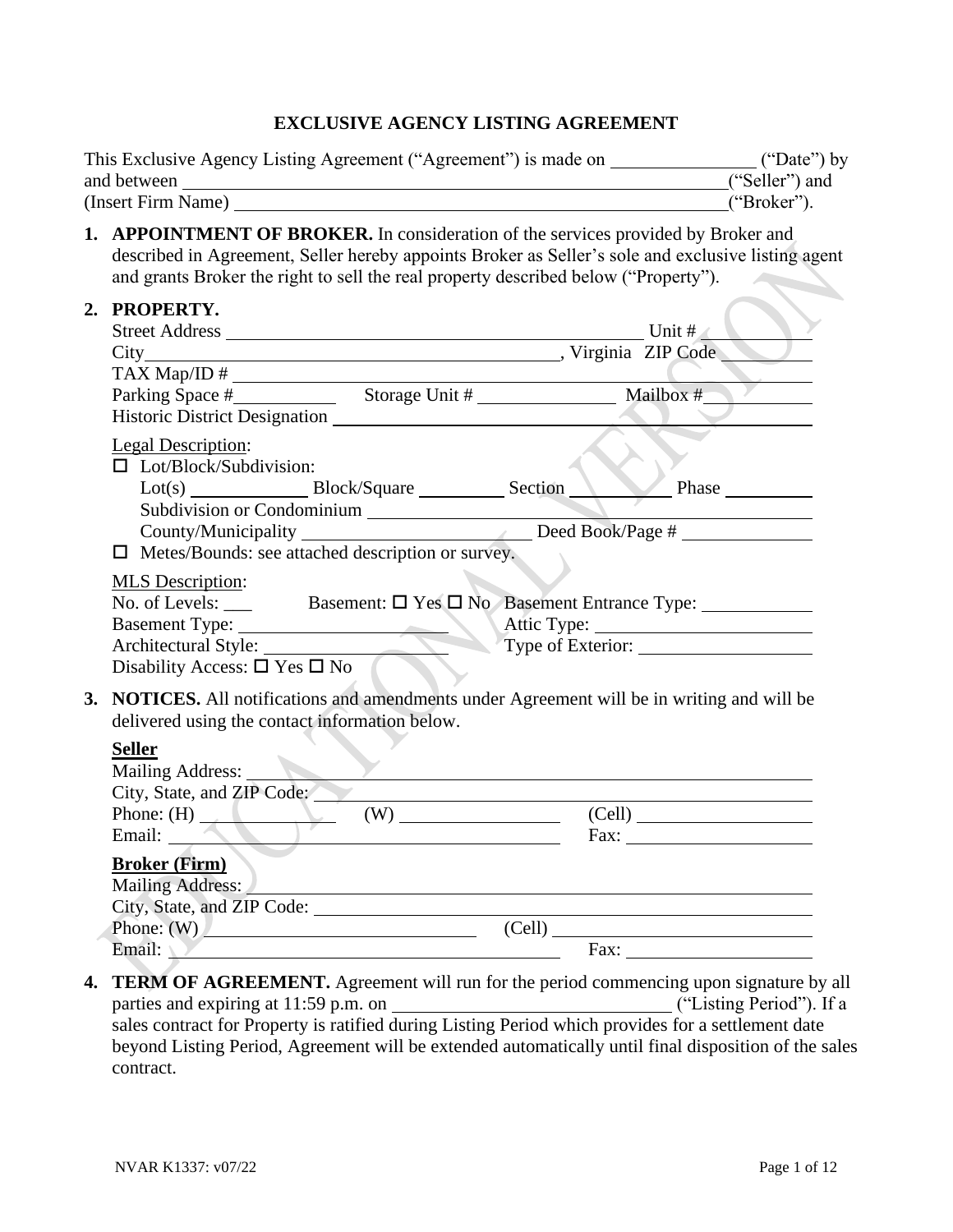#### **EXCLUSIVE AGENCY LISTING AGREEMENT**

| This Exclusive Agency Listing Agreement ("Agreement") is made on | ("Date") by    |
|------------------------------------------------------------------|----------------|
| and between                                                      | ("Seller") and |
| (Insert Firm Name)                                               | ("Broker").    |

**1. APPOINTMENT OF BROKER.** In consideration of the services provided by Broker and described in Agreement, Seller hereby appoints Broker as Seller's sole and exclusive listing agent and grants Broker the right to sell the real property described below ("Property"). 

|                                                                                                                                               | 2. PROPERTY.                                                                                                                                                                                                                                                      |  |                                                                                                                                                                                                                                                                                                                                                                                                                                                                                                                                                               |  |
|-----------------------------------------------------------------------------------------------------------------------------------------------|-------------------------------------------------------------------------------------------------------------------------------------------------------------------------------------------------------------------------------------------------------------------|--|---------------------------------------------------------------------------------------------------------------------------------------------------------------------------------------------------------------------------------------------------------------------------------------------------------------------------------------------------------------------------------------------------------------------------------------------------------------------------------------------------------------------------------------------------------------|--|
|                                                                                                                                               | City Nirginia ZIP Code                                                                                                                                                                                                                                            |  |                                                                                                                                                                                                                                                                                                                                                                                                                                                                                                                                                               |  |
|                                                                                                                                               | $\text{TAX Map} \setminus \text{ID} \#$                                                                                                                                                                                                                           |  |                                                                                                                                                                                                                                                                                                                                                                                                                                                                                                                                                               |  |
|                                                                                                                                               | Legal Description:<br>$\Box$ Lot/Block/Subdivision:<br>Lot(s) Block/Square Section<br>Subdivision or Condominium<br>County/Municipality _______________________________Deed Book/Page # _____________<br>$\Box$ Metes/Bounds: see attached description or survey. |  | Phase                                                                                                                                                                                                                                                                                                                                                                                                                                                                                                                                                         |  |
|                                                                                                                                               | <b>MLS</b> Description:<br>Disability Access: $\square$ Yes $\square$ No                                                                                                                                                                                          |  |                                                                                                                                                                                                                                                                                                                                                                                                                                                                                                                                                               |  |
| 3. NOTICES. All notifications and amendments under Agreement will be in writing and will be<br>delivered using the contact information below. |                                                                                                                                                                                                                                                                   |  |                                                                                                                                                                                                                                                                                                                                                                                                                                                                                                                                                               |  |
|                                                                                                                                               | <b>Seller</b><br>Mailing Address:<br>City, State, and ZIP Code:<br>Phone: $(H)$ (W) (W)                                                                                                                                                                           |  |                                                                                                                                                                                                                                                                                                                                                                                                                                                                                                                                                               |  |
|                                                                                                                                               | Email:<br><b>Broker (Firm)</b><br>Mailing Address: National Address: National Address: National Address: National Address: National Address: National Address: National Address: National Address: National Address: National Address: National Address: Nationa  |  | $\text{Fax:}\n \underline{\hspace{2cm}}\n \underline{\hspace{2cm}}\n \underline{\hspace{2cm}}\n \underline{\hspace{2cm}}\n \underline{\hspace{2cm}}\n \underline{\hspace{2cm}}\n \underline{\hspace{2cm}}\n \underline{\hspace{2cm}}\n \underline{\hspace{2cm}}\n \underline{\hspace{2cm}}\n \underline{\hspace{2cm}}\n \underline{\hspace{2cm}}\n \underline{\hspace{2cm}}\n \underline{\hspace{2cm}}\n \underline{\hspace{2cm}}\n \underline{\hspace{2cm}}\n \underline{\hspace{2cm}}\n \underline{\hspace{2cm}}\n \underline{\hspace{2cm}}\n \underline{\$ |  |
|                                                                                                                                               |                                                                                                                                                                                                                                                                   |  |                                                                                                                                                                                                                                                                                                                                                                                                                                                                                                                                                               |  |
|                                                                                                                                               | Phone: $(W)$                                                                                                                                                                                                                                                      |  | (Cell)                                                                                                                                                                                                                                                                                                                                                                                                                                                                                                                                                        |  |
|                                                                                                                                               | Email: V                                                                                                                                                                                                                                                          |  |                                                                                                                                                                                                                                                                                                                                                                                                                                                                                                                                                               |  |

**4. TERM OF AGREEMENT.** Agreement will run for the period commencing upon signature by all parties and expiring at 11:59 p.m. on ("Listing Period"). If a sales contract for Property is ratified during Listing Period which provides for a settlement date beyond Listing Period, Agreement will be extended automatically until final disposition of the sales contract.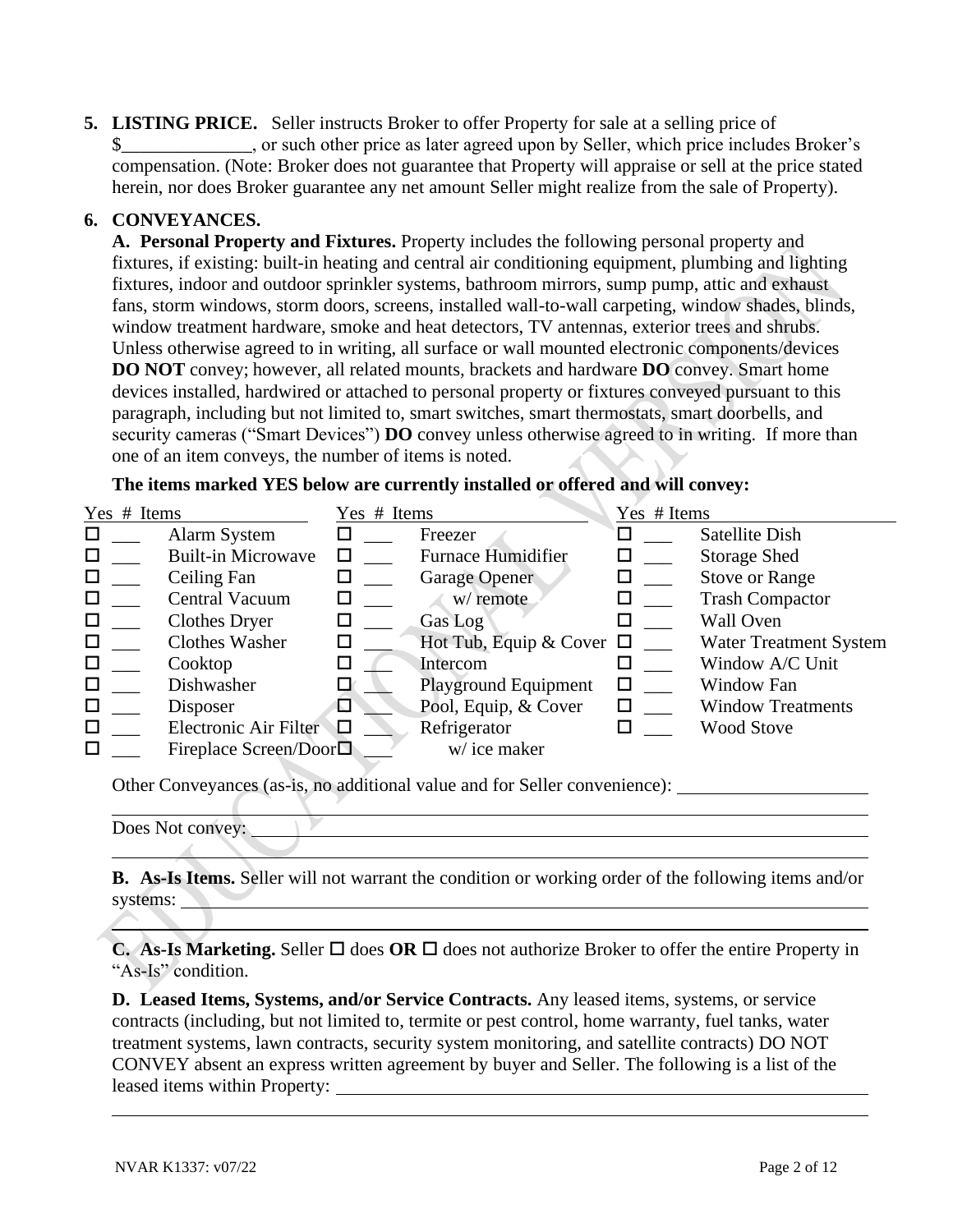**5. LISTING PRICE.** Seller instructs Broker to offer Property for sale at a selling price of \$\_\_\_\_\_\_\_\_\_\_\_\_\_\_, or such other price as later agreed upon by Seller, which price includes Broker's compensation. (Note: Broker does not guarantee that Property will appraise or sell at the price stated herein, nor does Broker guarantee any net amount Seller might realize from the sale of Property).

#### **6. CONVEYANCES.**

**A. Personal Property and Fixtures.** Property includes the following personal property and fixtures, if existing: built-in heating and central air conditioning equipment, plumbing and lighting fixtures, indoor and outdoor sprinkler systems, bathroom mirrors, sump pump, attic and exhaust fans, storm windows, storm doors, screens, installed wall-to-wall carpeting, window shades, blinds, window treatment hardware, smoke and heat detectors, TV antennas, exterior trees and shrubs. Unless otherwise agreed to in writing, all surface or wall mounted electronic components/devices **DO NOT** convey; however, all related mounts, brackets and hardware **DO** convey. Smart home devices installed, hardwired or attached to personal property or fixtures conveyed pursuant to this paragraph, including but not limited to, smart switches, smart thermostats, smart doorbells, and security cameras ("Smart Devices") **DO** convey unless otherwise agreed to in writing. If more than one of an item conveys, the number of items is noted.

**The items marked YES below are currently installed or offered and will convey:**

| Yes # Items |                                 | Yes # Items |                               | Yes # Items |                               |
|-------------|---------------------------------|-------------|-------------------------------|-------------|-------------------------------|
| □           | Alarm System                    |             | Freezer                       |             | Satellite Dish                |
| □           | <b>Built-in Microwave</b>       |             | <b>Furnace Humidifier</b>     | ப           | <b>Storage Shed</b>           |
| □           | Ceiling Fan                     |             | <b>Garage Opener</b>          | $\Box$      | <b>Stove or Range</b>         |
| □           | Central Vacuum                  |             | w/ remote                     | ப           | <b>Trash Compactor</b>        |
| □           | <b>Clothes Dryer</b>            |             | Gas Log                       |             | <b>Wall Oven</b>              |
| □           | <b>Clothes Washer</b>           |             | Hot Tub, Equip & Cover $\Box$ |             | <b>Water Treatment System</b> |
| □           | Cooktop                         |             | Intercom                      |             | Window A/C Unit               |
| □           | Dishwasher                      |             | <b>Playground Equipment</b>   |             | Window Fan                    |
| □           | Disposer                        | ⊡           | Pool, Equip, & Cover          |             | <b>Window Treatments</b>      |
| □           | Electronic Air Filter           | Л           | Refrigerator                  |             | <b>Wood Stove</b>             |
| п           | Fireplace Screen/Door $\square$ |             | w/ice maker                   |             |                               |

Other Conveyances (as-is, no additional value and for Seller convenience):

**B. As-Is Items.** Seller will not warrant the condition or working order of the following items and/or systems:

**C. As-Is Marketing.** Seller  $\Box$  does **OR**  $\Box$  does not authorize Broker to offer the entire Property in "As-Is" condition.

**D. Leased Items, Systems, and/or Service Contracts.** Any leased items, systems, or service contracts (including, but not limited to, termite or pest control, home warranty, fuel tanks, water treatment systems, lawn contracts, security system monitoring, and satellite contracts) DO NOT CONVEY absent an express written agreement by buyer and Seller. The following is a list of the leased items within Property:

Does Not convey: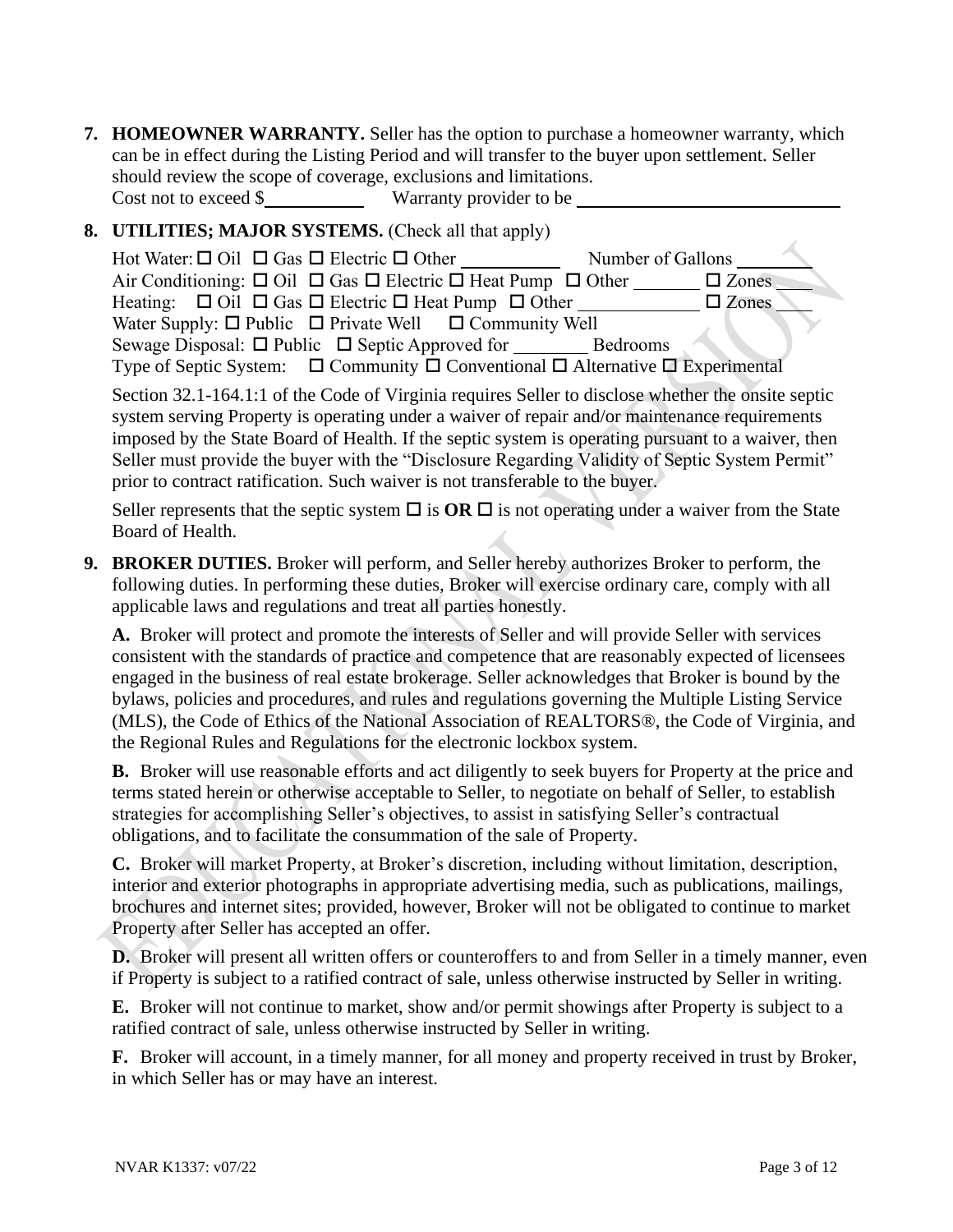**7. HOMEOWNER WARRANTY.** Seller has the option to purchase a homeowner warranty, which can be in effect during the Listing Period and will transfer to the buyer upon settlement. Seller should review the scope of coverage, exclusions and limitations. Cost not to exceed \$ Warranty provider to be

## **8. UTILITIES; MAJOR SYSTEMS.** (Check all that apply)

| Hot Water: $\Box$ Oil $\Box$ Gas $\Box$ Electric $\Box$ Other                                      | Number of Gallons |
|----------------------------------------------------------------------------------------------------|-------------------|
| Air Conditioning: $\Box$ Oil $\Box$ Gas $\Box$ Electric $\Box$ Heat Pump $\Box$ Other              | $\square$ Zones   |
| Heating: $\Box$ Oil $\Box$ Gas $\Box$ Electric $\Box$ Heat Pump $\Box$ Other                       | $\square$ Zones   |
| Water Supply: $\Box$ Public $\Box$ Private Well $\Box$ Community Well                              |                   |
|                                                                                                    | <b>Bedrooms</b>   |
| Type of Septic System: $\Box$ Community $\Box$ Conventional $\Box$ Alternative $\Box$ Experimental |                   |

Section 32.1-164.1:1 of the Code of Virginia requires Seller to disclose whether the onsite septic system serving Property is operating under a waiver of repair and/or maintenance requirements imposed by the State Board of Health. If the septic system is operating pursuant to a waiver, then Seller must provide the buyer with the "Disclosure Regarding Validity of Septic System Permit" prior to contract ratification. Such waiver is not transferable to the buyer.

Seller represents that the septic system  $\Box$  is **OR**  $\Box$  is not operating under a waiver from the State Board of Health.

**9. BROKER DUTIES.** Broker will perform, and Seller hereby authorizes Broker to perform, the following duties. In performing these duties, Broker will exercise ordinary care, comply with all applicable laws and regulations and treat all parties honestly.

**A.** Broker will protect and promote the interests of Seller and will provide Seller with services consistent with the standards of practice and competence that are reasonably expected of licensees engaged in the business of real estate brokerage. Seller acknowledges that Broker is bound by the bylaws, policies and procedures, and rules and regulations governing the Multiple Listing Service (MLS), the Code of Ethics of the National Association of REALTORS®, the Code of Virginia, and the Regional Rules and Regulations for the electronic lockbox system.

**B.** Broker will use reasonable efforts and act diligently to seek buyers for Property at the price and terms stated herein or otherwise acceptable to Seller, to negotiate on behalf of Seller, to establish strategies for accomplishing Seller's objectives, to assist in satisfying Seller's contractual obligations, and to facilitate the consummation of the sale of Property.

**C.** Broker will market Property, at Broker's discretion, including without limitation, description, interior and exterior photographs in appropriate advertising media, such as publications, mailings, brochures and internet sites; provided, however, Broker will not be obligated to continue to market Property after Seller has accepted an offer.

**D.** Broker will present all written offers or counteroffers to and from Seller in a timely manner, even if Property is subject to a ratified contract of sale, unless otherwise instructed by Seller in writing.

**E.** Broker will not continue to market, show and/or permit showings after Property is subject to a ratified contract of sale, unless otherwise instructed by Seller in writing.

**F.** Broker will account, in a timely manner, for all money and property received in trust by Broker, in which Seller has or may have an interest.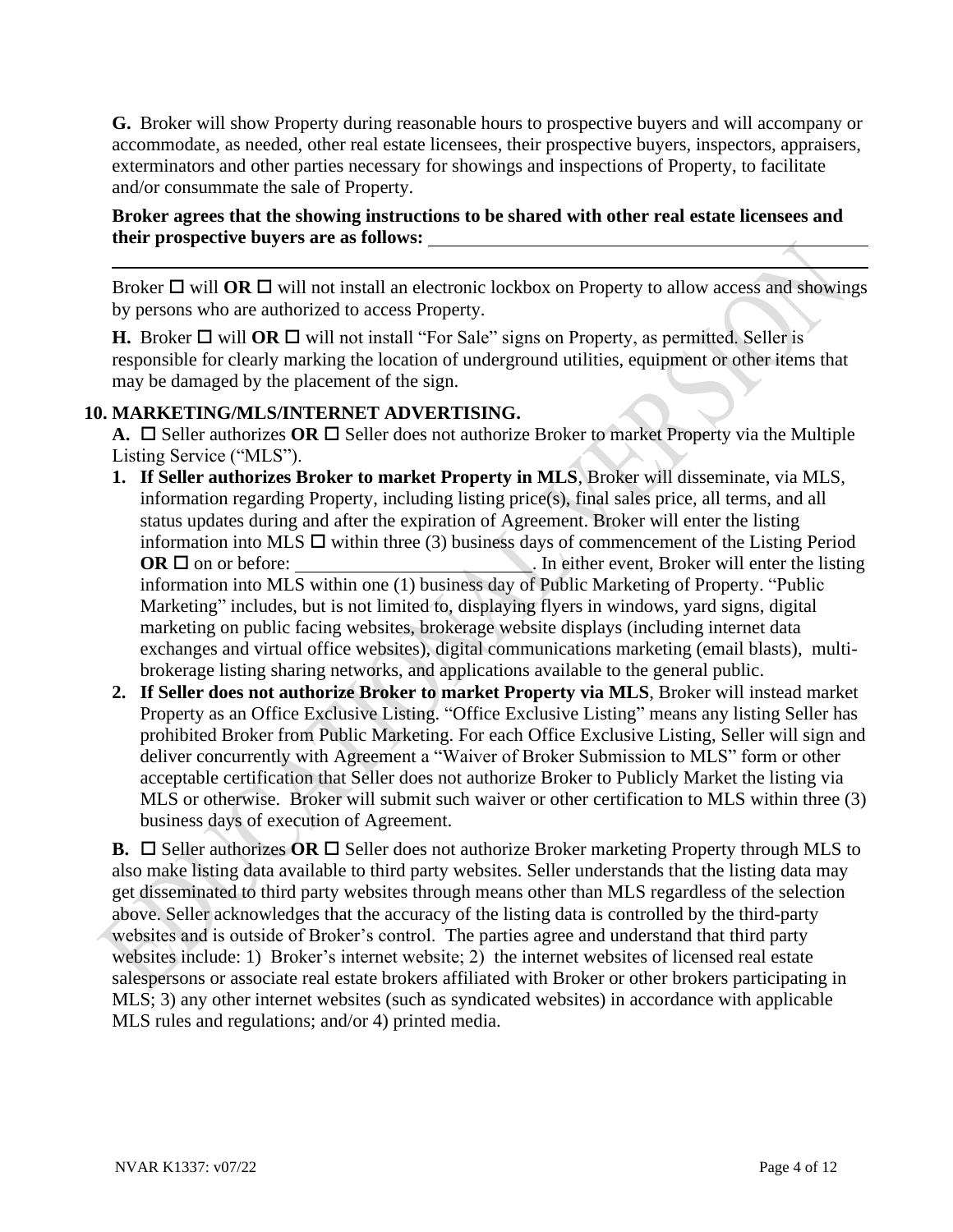**G.** Broker will show Property during reasonable hours to prospective buyers and will accompany or accommodate, as needed, other real estate licensees, their prospective buyers, inspectors, appraisers, exterminators and other parties necessary for showings and inspections of Property, to facilitate and/or consummate the sale of Property.

#### **Broker agrees that the showing instructions to be shared with other real estate licensees and their prospective buyers are as follows:**

Broker  $\Box$  will **OR**  $\Box$  will not install an electronic lockbox on Property to allow access and showings by persons who are authorized to access Property.

**H.** Broker  $\Box$  will **OR**  $\Box$  will not install "For Sale" signs on Property, as permitted. Seller is responsible for clearly marking the location of underground utilities, equipment or other items that may be damaged by the placement of the sign.

## **10. MARKETING/MLS/INTERNET ADVERTISING.**

**A.**  $\Box$  Seller authorizes OR  $\Box$  Seller does not authorize Broker to market Property via the Multiple Listing Service ("MLS").

- **1. If Seller authorizes Broker to market Property in MLS**, Broker will disseminate, via MLS, information regarding Property, including listing price(s), final sales price, all terms, and all status updates during and after the expiration of Agreement. Broker will enter the listing information into MLS  $\Box$  within three (3) business days of commencement of the Listing Period **OR**  on or before: . In either event, Broker will enter the listing information into MLS within one (1) business day of Public Marketing of Property. "Public Marketing" includes, but is not limited to, displaying flyers in windows, yard signs, digital marketing on public facing websites, brokerage website displays (including internet data exchanges and virtual office websites), digital communications marketing (email blasts), multibrokerage listing sharing networks, and applications available to the general public.
- **2. If Seller does not authorize Broker to market Property via MLS**, Broker will instead market Property as an Office Exclusive Listing. "Office Exclusive Listing" means any listing Seller has prohibited Broker from Public Marketing. For each Office Exclusive Listing, Seller will sign and deliver concurrently with Agreement a "Waiver of Broker Submission to MLS" form or other acceptable certification that Seller does not authorize Broker to Publicly Market the listing via MLS or otherwise. Broker will submit such waiver or other certification to MLS within three (3) business days of execution of Agreement.

**B.**  $\Box$  Seller authorizes OR  $\Box$  Seller does not authorize Broker marketing Property through MLS to also make listing data available to third party websites. Seller understands that the listing data may get disseminated to third party websites through means other than MLS regardless of the selection above. Seller acknowledges that the accuracy of the listing data is controlled by the third-party websites and is outside of Broker's control. The parties agree and understand that third party websites include: 1) Broker's internet website; 2) the internet websites of licensed real estate salespersons or associate real estate brokers affiliated with Broker or other brokers participating in MLS; 3) any other internet websites (such as syndicated websites) in accordance with applicable MLS rules and regulations; and/or 4) printed media.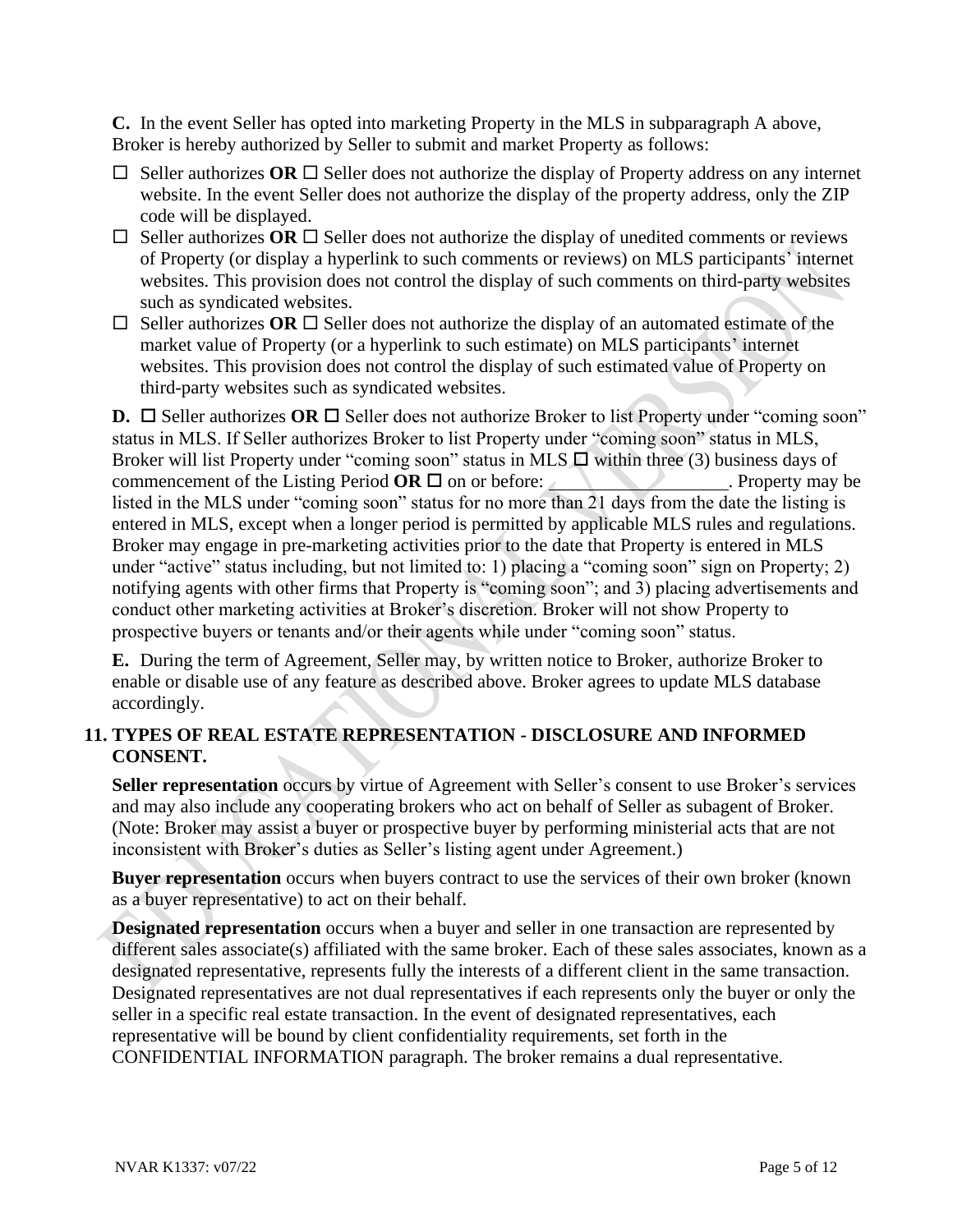**C.** In the event Seller has opted into marketing Property in the MLS in subparagraph A above, Broker is hereby authorized by Seller to submit and market Property as follows:

- $\Box$  Seller authorizes OR  $\Box$  Seller does not authorize the display of Property address on any internet website. In the event Seller does not authorize the display of the property address, only the ZIP code will be displayed.
- $\Box$  Seller authorizes OR  $\Box$  Seller does not authorize the display of unedited comments or reviews of Property (or display a hyperlink to such comments or reviews) on MLS participants' internet websites. This provision does not control the display of such comments on third-party websites such as syndicated websites.
- $\Box$  Seller authorizes **OR**  $\Box$  Seller does not authorize the display of an automated estimate of the market value of Property (or a hyperlink to such estimate) on MLS participants' internet websites. This provision does not control the display of such estimated value of Property on third-party websites such as syndicated websites.

**D.**  $\Box$  Seller authorizes **OR**  $\Box$  Seller does not authorize Broker to list Property under "coming soon" status in MLS. If Seller authorizes Broker to list Property under "coming soon" status in MLS, Broker will list Property under "coming soon" status in MLS  $\Box$  within three (3) business days of commencement of the Listing Period  $OR \square$  on or before: . Property may be listed in the MLS under "coming soon" status for no more than 21 days from the date the listing is entered in MLS, except when a longer period is permitted by applicable MLS rules and regulations. Broker may engage in pre-marketing activities prior to the date that Property is entered in MLS under "active" status including, but not limited to: 1) placing a "coming soon" sign on Property; 2) notifying agents with other firms that Property is "coming soon"; and 3) placing advertisements and conduct other marketing activities at Broker's discretion. Broker will not show Property to prospective buyers or tenants and/or their agents while under "coming soon" status.

**E.** During the term of Agreement, Seller may, by written notice to Broker, authorize Broker to enable or disable use of any feature as described above. Broker agrees to update MLS database accordingly.

## **11. TYPES OF REAL ESTATE REPRESENTATION - DISCLOSURE AND INFORMED CONSENT.**

**Seller representation** occurs by virtue of Agreement with Seller's consent to use Broker's services and may also include any cooperating brokers who act on behalf of Seller as subagent of Broker. (Note: Broker may assist a buyer or prospective buyer by performing ministerial acts that are not inconsistent with Broker's duties as Seller's listing agent under Agreement.)

**Buyer representation** occurs when buyers contract to use the services of their own broker (known as a buyer representative) to act on their behalf.

**Designated representation** occurs when a buyer and seller in one transaction are represented by different sales associate(s) affiliated with the same broker. Each of these sales associates, known as a designated representative, represents fully the interests of a different client in the same transaction. Designated representatives are not dual representatives if each represents only the buyer or only the seller in a specific real estate transaction. In the event of designated representatives, each representative will be bound by client confidentiality requirements, set forth in the CONFIDENTIAL INFORMATION paragraph. The broker remains a dual representative.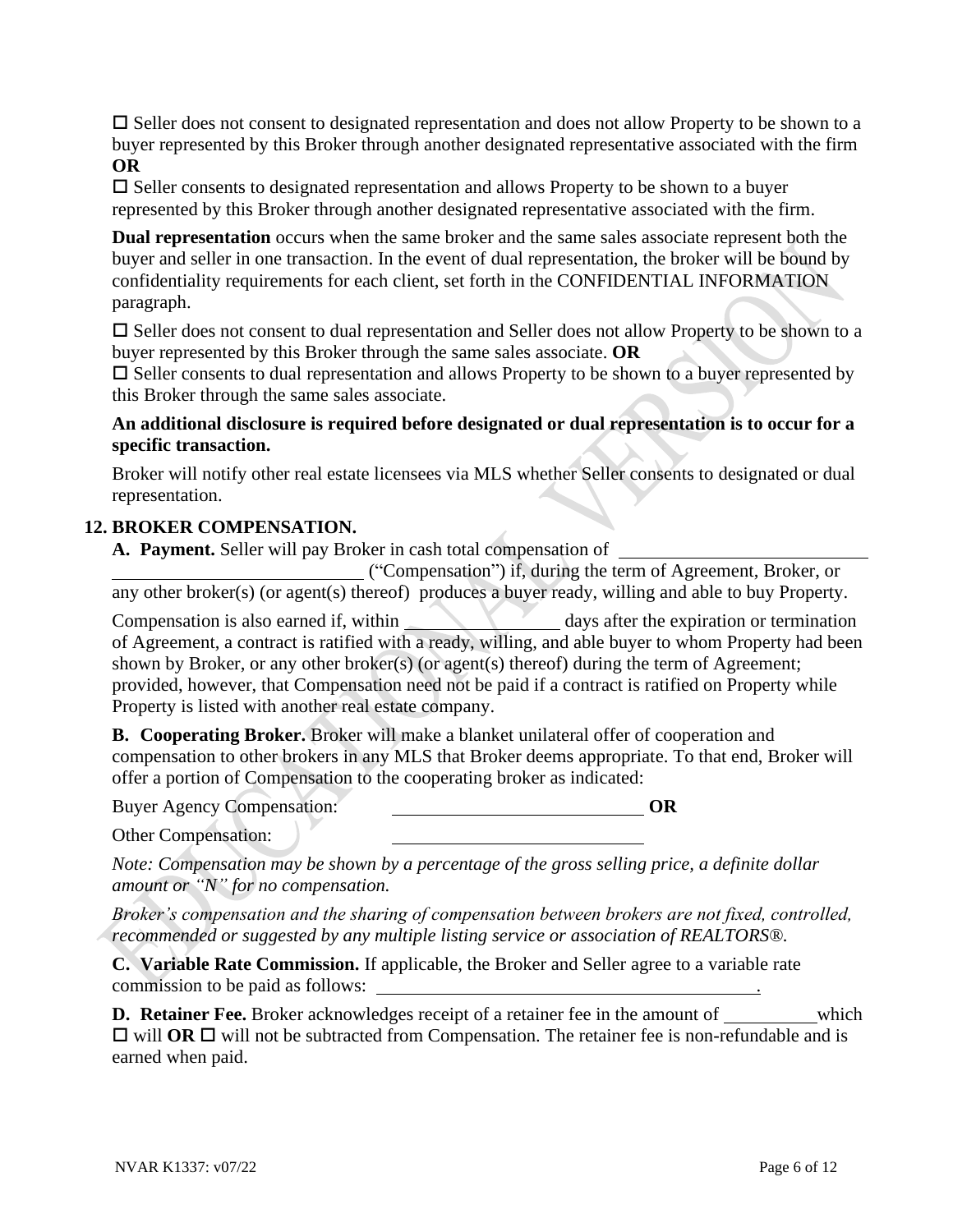$\square$  Seller does not consent to designated representation and does not allow Property to be shown to a buyer represented by this Broker through another designated representative associated with the firm **OR**

 $\square$  Seller consents to designated representation and allows Property to be shown to a buyer represented by this Broker through another designated representative associated with the firm.

**Dual representation** occurs when the same broker and the same sales associate represent both the buyer and seller in one transaction. In the event of dual representation, the broker will be bound by confidentiality requirements for each client, set forth in the CONFIDENTIAL INFORMATION paragraph.

 $\square$  Seller does not consent to dual representation and Seller does not allow Property to be shown to a buyer represented by this Broker through the same sales associate. **OR**

 $\square$  Seller consents to dual representation and allows Property to be shown to a buyer represented by this Broker through the same sales associate.

### **An additional disclosure is required before designated or dual representation is to occur for a specific transaction.**

Broker will notify other real estate licensees via MLS whether Seller consents to designated or dual representation.

### **12. BROKER COMPENSATION.**

**A. Payment.** Seller will pay Broker in cash total compensation of

("Compensation") if, during the term of Agreement, Broker, or any other broker(s) (or agent(s) thereof) produces a buyer ready, willing and able to buy Property.

Compensation is also earned if, within days after the expiration or termination of Agreement, a contract is ratified with a ready, willing, and able buyer to whom Property had been shown by Broker, or any other broker(s) (or agent(s) thereof) during the term of Agreement; provided, however, that Compensation need not be paid if a contract is ratified on Property while Property is listed with another real estate company.

**B. Cooperating Broker.** Broker will make a blanket unilateral offer of cooperation and compensation to other brokers in any MLS that Broker deems appropriate. To that end, Broker will offer a portion of Compensation to the cooperating broker as indicated:

Buyer Agency Compensation: **OR**

Other Compensation:

*Note: Compensation may be shown by a percentage of the gross selling price, a definite dollar amount or "N" for no compensation.*

*Broker's compensation and the sharing of compensation between brokers are not fixed, controlled, recommended or suggested by any multiple listing service or association of REALTORS®.*

**C. Variable Rate Commission.** If applicable, the Broker and Seller agree to a variable rate commission to be paid as follows: .

**D. Retainer Fee.** Broker acknowledges receipt of a retainer fee in the amount of which  $\Box$  will **OR**  $\Box$  will not be subtracted from Compensation. The retainer fee is non-refundable and is earned when paid.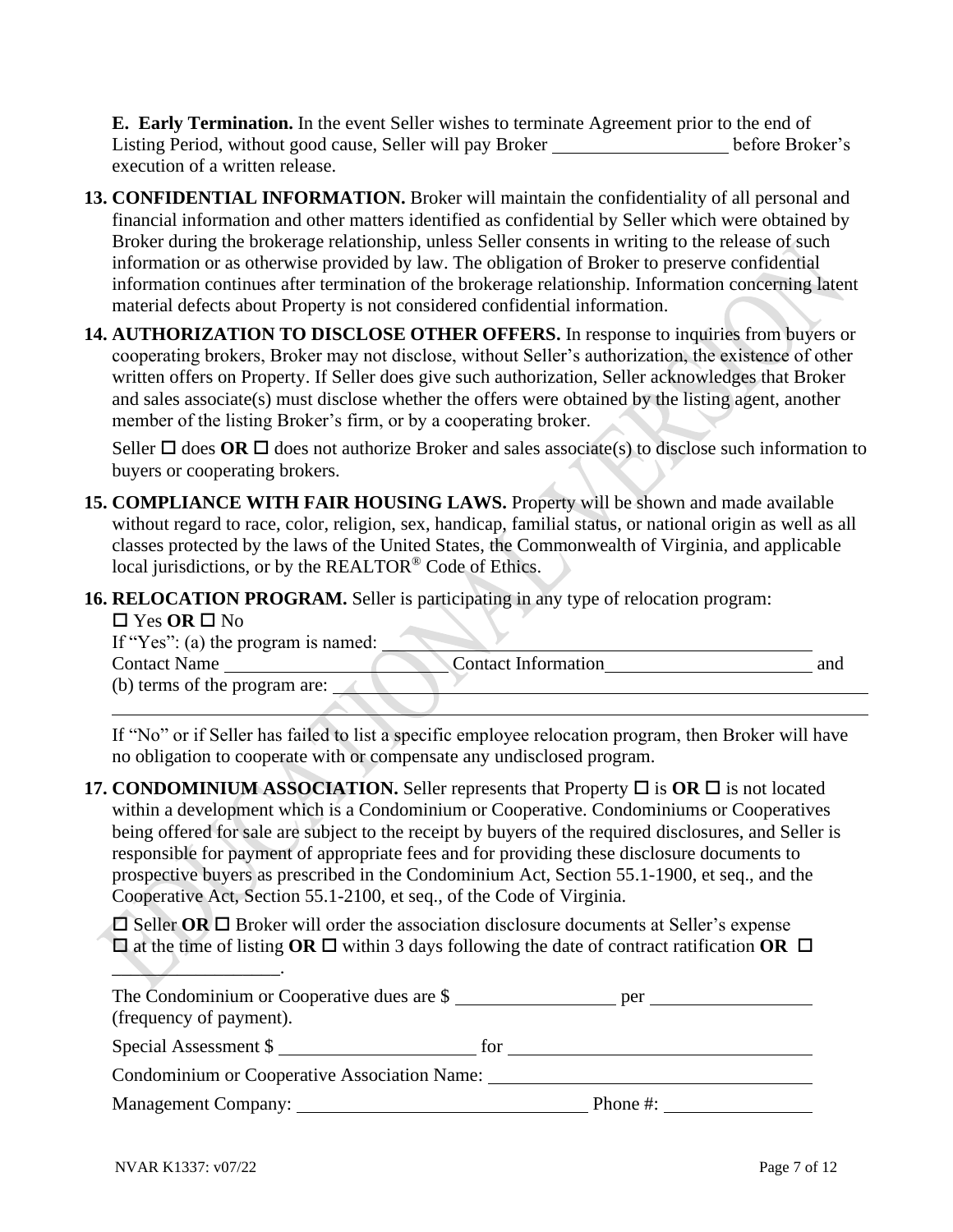**E. Early Termination.** In the event Seller wishes to terminate Agreement prior to the end of Listing Period, without good cause, Seller will pay Broker before Broker's execution of a written release.

- **13. CONFIDENTIAL INFORMATION.** Broker will maintain the confidentiality of all personal and financial information and other matters identified as confidential by Seller which were obtained by Broker during the brokerage relationship, unless Seller consents in writing to the release of such information or as otherwise provided by law. The obligation of Broker to preserve confidential information continues after termination of the brokerage relationship. Information concerning latent material defects about Property is not considered confidential information.
- **14. AUTHORIZATION TO DISCLOSE OTHER OFFERS.** In response to inquiries from buyers or cooperating brokers, Broker may not disclose, without Seller's authorization, the existence of other written offers on Property. If Seller does give such authorization, Seller acknowledges that Broker and sales associate(s) must disclose whether the offers were obtained by the listing agent, another member of the listing Broker's firm, or by a cooperating broker.

Seller  $\Box$  does **OR**  $\Box$  does not authorize Broker and sales associate(s) to disclose such information to buyers or cooperating brokers.

**15. COMPLIANCE WITH FAIR HOUSING LAWS.** Property will be shown and made available without regard to race, color, religion, sex, handicap, familial status, or national origin as well as all classes protected by the laws of the United States, the Commonwealth of Virginia, and applicable local jurisdictions, or by the REALTOR® Code of Ethics.

# **16. RELOCATION PROGRAM.** Seller is participating in any type of relocation program:

#### $\Box$  Yes  $\overline{OR}$   $\Box$  No

| If "Yes": (a) the program is named: |                     |     |
|-------------------------------------|---------------------|-----|
| <b>Contact Name</b>                 | Contact Information | and |
| (b) terms of the program are:       |                     |     |
|                                     |                     |     |

If "No" or if Seller has failed to list a specific employee relocation program, then Broker will have no obligation to cooperate with or compensate any undisclosed program.

**17. CONDOMINIUM ASSOCIATION.** Seller represents that Property  $\Box$  is  $\overline{OR} \Box$  is not located within a development which is a Condominium or Cooperative. Condominiums or Cooperatives being offered for sale are subject to the receipt by buyers of the required disclosures, and Seller is responsible for payment of appropriate fees and for providing these disclosure documents to prospective buyers as prescribed in the Condominium Act, Section 55.1-1900, et seq., and the Cooperative Act, Section 55.1-2100, et seq., of the Code of Virginia.

 $\Box$  Seller **OR**  $\Box$  Broker will order the association disclosure documents at Seller's expense  $\Box$  at the time of listing **OR**  $\Box$  within 3 days following the date of contract ratification **OR**  $\Box$ 

| The Condominium or Cooperative dues are \$   |     | per         |  |
|----------------------------------------------|-----|-------------|--|
| (frequency of payment).                      |     |             |  |
| Special Assessment \$                        | for |             |  |
| Condominium or Cooperative Association Name: |     |             |  |
| <b>Management Company:</b>                   |     | Phone $#$ : |  |

 $\overbrace{\phantom{aaaaa}}$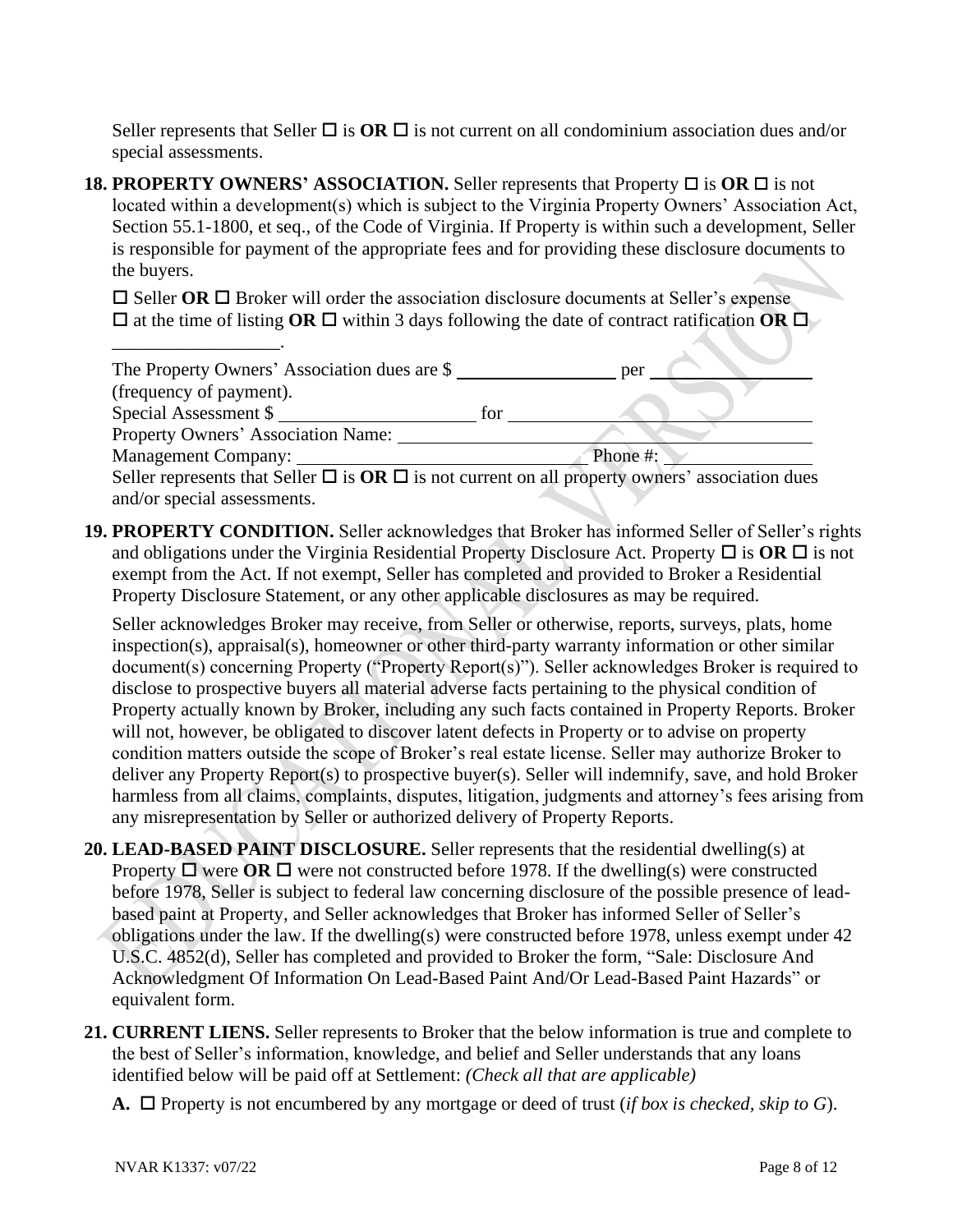Seller represents that Seller  $\Box$  is  $\overline{OR} \Box$  is not current on all condominium association dues and/or special assessments.

**18. PROPERTY OWNERS' ASSOCIATION.** Seller represents that Property  $\Box$  is  $\overline{OR} \Box$  is not located within a development(s) which is subject to the Virginia Property Owners' Association Act, Section 55.1-1800, et seq., of the Code of Virginia. If Property is within such a development, Seller is responsible for payment of the appropriate fees and for providing these disclosure documents to the buyers.

 $\square$  Seller **OR**  $\square$  Broker will order the association disclosure documents at Seller's expense  $\Box$  at the time of listing **OR**  $\Box$  within 3 days following the date of contract ratification **OR**  $\Box$ 

| The Property Owners' Association dues are \$                                                              |     | per      |
|-----------------------------------------------------------------------------------------------------------|-----|----------|
| (frequency of payment).                                                                                   |     |          |
| Special Assessment \$                                                                                     | for |          |
| Property Owners' Association Name:                                                                        |     |          |
| Management Company:                                                                                       |     | Phone #: |
| Seller represents that Seller $\Box$ is $OR \Box$ is not current on all property owners' association dues |     |          |

**19. PROPERTY CONDITION.** Seller acknowledges that Broker has informed Seller of Seller's rights and obligations under the Virginia Residential Property Disclosure Act. Property  $\Box$  is  $\Box$  R $\Box$  is not exempt from the Act. If not exempt, Seller has completed and provided to Broker a Residential Property Disclosure Statement, or any other applicable disclosures as may be required.

Seller acknowledges Broker may receive, from Seller or otherwise, reports, surveys, plats, home inspection(s), appraisal(s), homeowner or other third-party warranty information or other similar document(s) concerning Property ("Property Report(s)"). Seller acknowledges Broker is required to disclose to prospective buyers all material adverse facts pertaining to the physical condition of Property actually known by Broker, including any such facts contained in Property Reports. Broker will not, however, be obligated to discover latent defects in Property or to advise on property condition matters outside the scope of Broker's real estate license. Seller may authorize Broker to deliver any Property Report(s) to prospective buyer(s). Seller will indemnify, save, and hold Broker harmless from all claims, complaints, disputes, litigation, judgments and attorney's fees arising from any misrepresentation by Seller or authorized delivery of Property Reports.

- **20. LEAD-BASED PAINT DISCLOSURE.** Seller represents that the residential dwelling(s) at Property  $\Box$  were  $\overline{OR}$   $\Box$  were not constructed before 1978. If the dwelling(s) were constructed before 1978, Seller is subject to federal law concerning disclosure of the possible presence of leadbased paint at Property, and Seller acknowledges that Broker has informed Seller of Seller's obligations under the law. If the dwelling(s) were constructed before 1978, unless exempt under 42 U.S.C. 4852(d), Seller has completed and provided to Broker the form, "Sale: Disclosure And Acknowledgment Of Information On Lead-Based Paint And/Or Lead-Based Paint Hazards" or equivalent form.
- **21. CURRENT LIENS.** Seller represents to Broker that the below information is true and complete to the best of Seller's information, knowledge, and belief and Seller understands that any loans identified below will be paid off at Settlement: *(Check all that are applicable)*
	- **A.**  $\Box$  Property is not encumbered by any mortgage or deed of trust (*if box is checked, skip to G*).

\_\_\_\_\_\_\_\_\_\_\_\_\_\_\_\_\_\_.

and/or special assessments.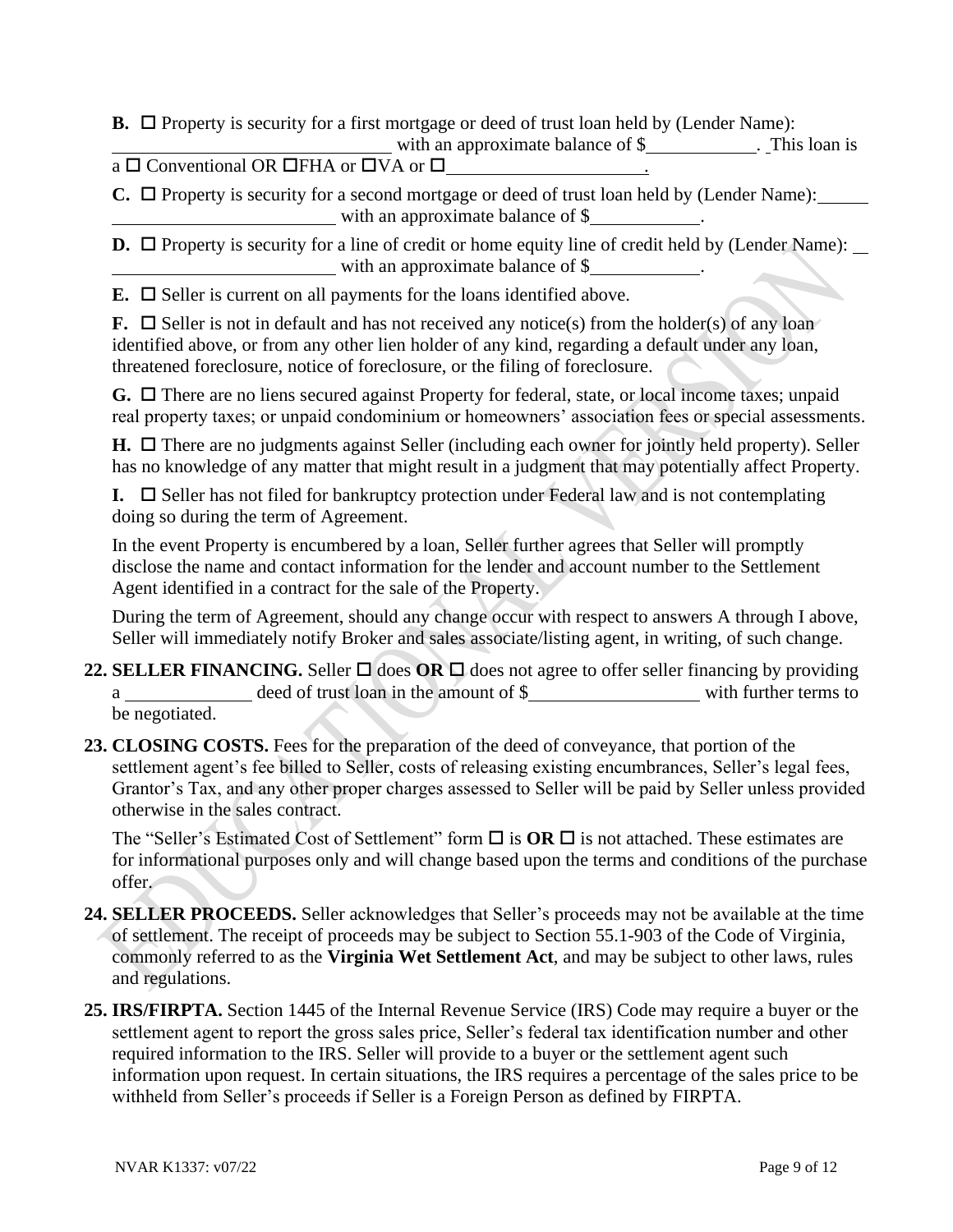**B.**  $\Box$  Property is security for a first mortgage or deed of trust loan held by (Lender Name): with an approximate balance of \$ . This loan is

 $a \Box$  Conventional OR  $\Box$  FHA or  $\Box$  VA or  $\Box$ 

 $C. \Box$  Property is security for a second mortgage or deed of trust loan held by (Lender Name): with an approximate balance of \$

**D.**  $\Box$  Property is security for a line of credit or home equity line of credit held by (Lender Name): with an approximate balance of \$

**E.**  $\Box$  Seller is current on all payments for the loans identified above.

**F.**  $\Box$  Seller is not in default and has not received any notice(s) from the holder(s) of any loan identified above, or from any other lien holder of any kind, regarding a default under any loan, threatened foreclosure, notice of foreclosure, or the filing of foreclosure.

G. □ There are no liens secured against Property for federal, state, or local income taxes; unpaid real property taxes; or unpaid condominium or homeowners' association fees or special assessments.

 $H. \Box$  There are no judgments against Seller (including each owner for jointly held property). Seller has no knowledge of any matter that might result in a judgment that may potentially affect Property.

**I.**  $\Box$  Seller has not filed for bankruptcy protection under Federal law and is not contemplating doing so during the term of Agreement.

In the event Property is encumbered by a loan, Seller further agrees that Seller will promptly disclose the name and contact information for the lender and account number to the Settlement Agent identified in a contract for the sale of the Property.

During the term of Agreement, should any change occur with respect to answers A through I above, Seller will immediately notify Broker and sales associate/listing agent, in writing, of such change.

- **22. SELLER FINANCING.** Seller  $\Box$  does OR  $\Box$  does not agree to offer seller financing by providing a deed of trust loan in the amount of \$ with further terms to be negotiated.
- **23. CLOSING COSTS.** Fees for the preparation of the deed of conveyance, that portion of the settlement agent's fee billed to Seller, costs of releasing existing encumbrances, Seller's legal fees, Grantor's Tax, and any other proper charges assessed to Seller will be paid by Seller unless provided otherwise in the sales contract.

The "Seller's Estimated Cost of Settlement" form  $\Box$  is  $OR \Box$  is not attached. These estimates are for informational purposes only and will change based upon the terms and conditions of the purchase offer.

- **24. SELLER PROCEEDS.** Seller acknowledges that Seller's proceeds may not be available at the time of settlement. The receipt of proceeds may be subject to Section 55.1-903 of the Code of Virginia, commonly referred to as the **Virginia Wet Settlement Act**, and may be subject to other laws, rules and regulations.
- **25. IRS/FIRPTA.** Section 1445 of the Internal Revenue Service (IRS) Code may require a buyer or the settlement agent to report the gross sales price, Seller's federal tax identification number and other required information to the IRS. Seller will provide to a buyer or the settlement agent such information upon request. In certain situations, the IRS requires a percentage of the sales price to be withheld from Seller's proceeds if Seller is a Foreign Person as defined by FIRPTA.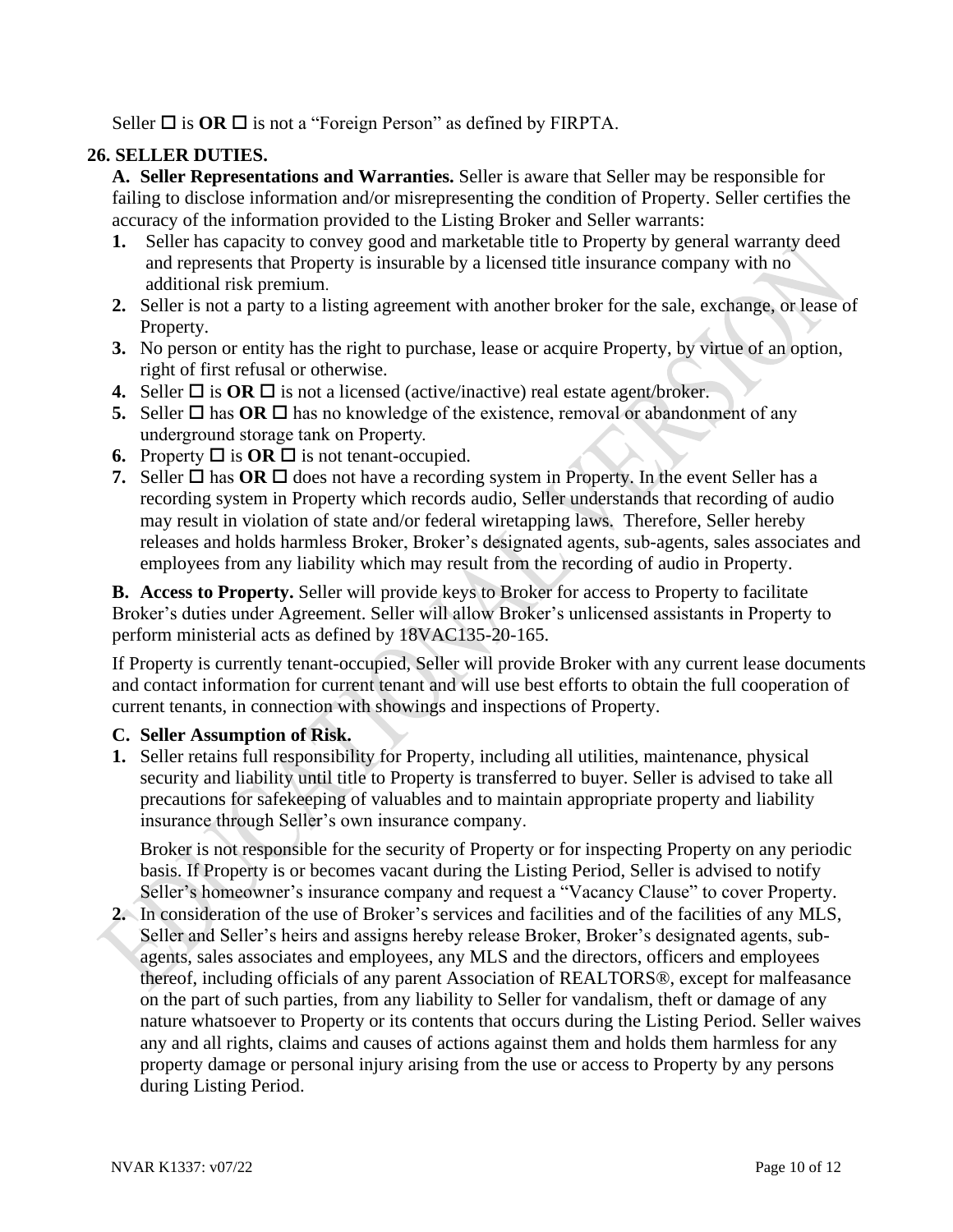Seller  $\Box$  is **OR**  $\Box$  is not a "Foreign Person" as defined by FIRPTA.

## **26. SELLER DUTIES.**

**A. Seller Representations and Warranties.** Seller is aware that Seller may be responsible for failing to disclose information and/or misrepresenting the condition of Property. Seller certifies the accuracy of the information provided to the Listing Broker and Seller warrants:

- **1.** Seller has capacity to convey good and marketable title to Property by general warranty deed and represents that Property is insurable by a licensed title insurance company with no additional risk premium.
- **2.** Seller is not a party to a listing agreement with another broker for the sale, exchange, or lease of Property.
- **3.** No person or entity has the right to purchase, lease or acquire Property, by virtue of an option, right of first refusal or otherwise.
- **4.** Seller  $\Box$  is **OR**  $\Box$  is not a licensed (active/inactive) real estate agent/broker.
- **5.** Seller  $\Box$  has **OR**  $\Box$  has no knowledge of the existence, removal or abandonment of any underground storage tank on Property.
- **6.** Property  $\Box$  is  $\overline{OR}$   $\Box$  is not tenant-occupied.
- **7.** Seller  $\Box$  has  $\overline{OR}$   $\Box$  does not have a recording system in Property. In the event Seller has a recording system in Property which records audio, Seller understands that recording of audio may result in violation of state and/or federal wiretapping laws. Therefore, Seller hereby releases and holds harmless Broker, Broker's designated agents, sub-agents, sales associates and employees from any liability which may result from the recording of audio in Property.

**B. Access to Property.** Seller will provide keys to Broker for access to Property to facilitate Broker's duties under Agreement. Seller will allow Broker's unlicensed assistants in Property to perform ministerial acts as defined by 18VAC135-20-165.

If Property is currently tenant-occupied, Seller will provide Broker with any current lease documents and contact information for current tenant and will use best efforts to obtain the full cooperation of current tenants, in connection with showings and inspections of Property.

#### **C. Seller Assumption of Risk.**

**1.** Seller retains full responsibility for Property, including all utilities, maintenance, physical security and liability until title to Property is transferred to buyer. Seller is advised to take all precautions for safekeeping of valuables and to maintain appropriate property and liability insurance through Seller's own insurance company.

Broker is not responsible for the security of Property or for inspecting Property on any periodic basis. If Property is or becomes vacant during the Listing Period, Seller is advised to notify Seller's homeowner's insurance company and request a "Vacancy Clause" to cover Property.

**2.** In consideration of the use of Broker's services and facilities and of the facilities of any MLS, Seller and Seller's heirs and assigns hereby release Broker, Broker's designated agents, subagents, sales associates and employees, any MLS and the directors, officers and employees thereof, including officials of any parent Association of REALTORS®, except for malfeasance on the part of such parties, from any liability to Seller for vandalism, theft or damage of any nature whatsoever to Property or its contents that occurs during the Listing Period. Seller waives any and all rights, claims and causes of actions against them and holds them harmless for any property damage or personal injury arising from the use or access to Property by any persons during Listing Period.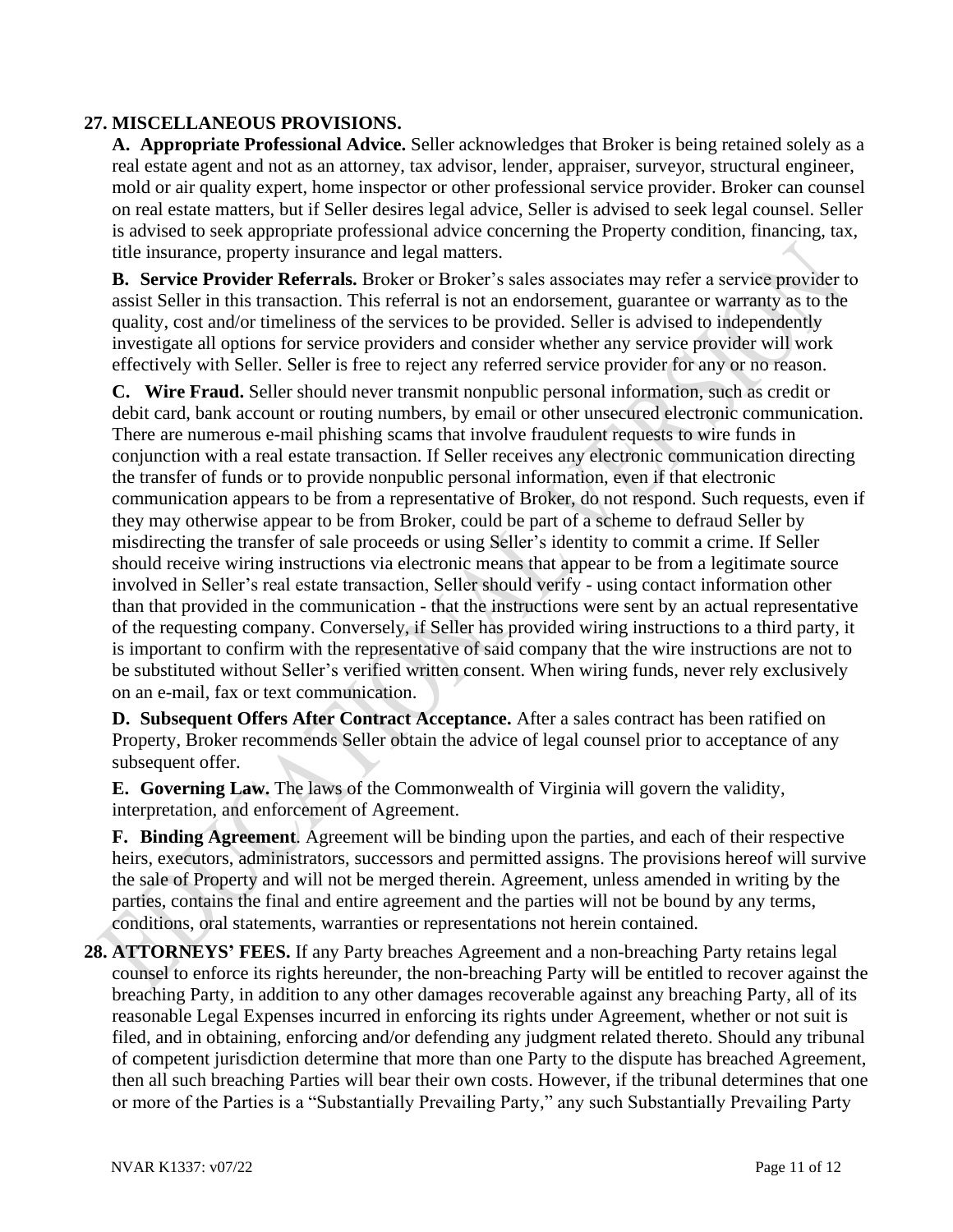#### **27. MISCELLANEOUS PROVISIONS.**

**A. Appropriate Professional Advice.** Seller acknowledges that Broker is being retained solely as a real estate agent and not as an attorney, tax advisor, lender, appraiser, surveyor, structural engineer, mold or air quality expert, home inspector or other professional service provider. Broker can counsel on real estate matters, but if Seller desires legal advice, Seller is advised to seek legal counsel. Seller is advised to seek appropriate professional advice concerning the Property condition, financing, tax, title insurance, property insurance and legal matters.

**B. Service Provider Referrals.** Broker or Broker's sales associates may refer a service provider to assist Seller in this transaction. This referral is not an endorsement, guarantee or warranty as to the quality, cost and/or timeliness of the services to be provided. Seller is advised to independently investigate all options for service providers and consider whether any service provider will work effectively with Seller. Seller is free to reject any referred service provider for any or no reason.

**C. Wire Fraud.** Seller should never transmit nonpublic personal information, such as credit or debit card, bank account or routing numbers, by email or other unsecured electronic communication. There are numerous e-mail phishing scams that involve fraudulent requests to wire funds in conjunction with a real estate transaction. If Seller receives any electronic communication directing the transfer of funds or to provide nonpublic personal information, even if that electronic communication appears to be from a representative of Broker, do not respond. Such requests, even if they may otherwise appear to be from Broker, could be part of a scheme to defraud Seller by misdirecting the transfer of sale proceeds or using Seller's identity to commit a crime. If Seller should receive wiring instructions via electronic means that appear to be from a legitimate source involved in Seller's real estate transaction, Seller should verify - using contact information other than that provided in the communication - that the instructions were sent by an actual representative of the requesting company. Conversely, if Seller has provided wiring instructions to a third party, it is important to confirm with the representative of said company that the wire instructions are not to be substituted without Seller's verified written consent. When wiring funds, never rely exclusively on an e-mail, fax or text communication.

**D. Subsequent Offers After Contract Acceptance.** After a sales contract has been ratified on Property, Broker recommends Seller obtain the advice of legal counsel prior to acceptance of any subsequent offer.

**E. Governing Law.** The laws of the Commonwealth of Virginia will govern the validity, interpretation, and enforcement of Agreement.

**F. Binding Agreement**. Agreement will be binding upon the parties, and each of their respective heirs, executors, administrators, successors and permitted assigns. The provisions hereof will survive the sale of Property and will not be merged therein. Agreement, unless amended in writing by the parties, contains the final and entire agreement and the parties will not be bound by any terms, conditions, oral statements, warranties or representations not herein contained.

**28. ATTORNEYS' FEES.** If any Party breaches Agreement and a non-breaching Party retains legal counsel to enforce its rights hereunder, the non-breaching Party will be entitled to recover against the breaching Party, in addition to any other damages recoverable against any breaching Party, all of its reasonable Legal Expenses incurred in enforcing its rights under Agreement, whether or not suit is filed, and in obtaining, enforcing and/or defending any judgment related thereto. Should any tribunal of competent jurisdiction determine that more than one Party to the dispute has breached Agreement, then all such breaching Parties will bear their own costs. However, if the tribunal determines that one or more of the Parties is a "Substantially Prevailing Party," any such Substantially Prevailing Party